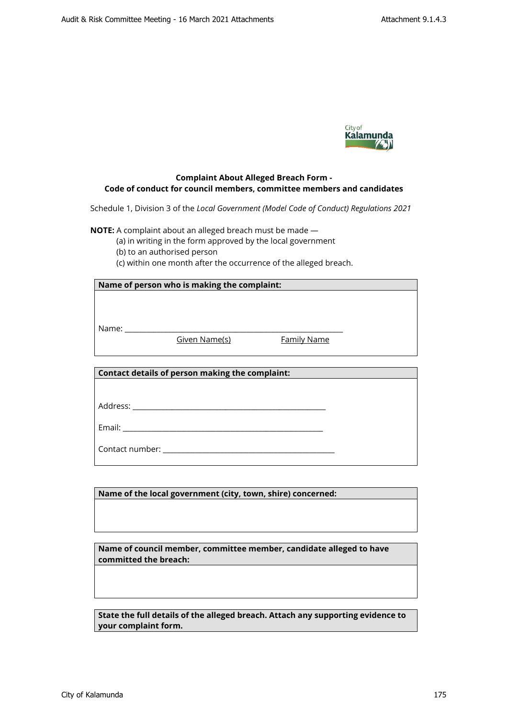

## **Complaint About Alleged Breach Form - Code of conduct for council members, committee members and candidates**

Schedule 1, Division 3 of the *Local Government (Model Code of Conduct) Regulations 2021*

**NOTE:** A complaint about an alleged breach must be made —

(a) in writing in the form approved by the local government

(b) to an authorised person

(c) within one month after the occurrence of the alleged breach.

| Name of person who is making the complaint:     |               |                    |  |
|-------------------------------------------------|---------------|--------------------|--|
|                                                 |               |                    |  |
|                                                 |               |                    |  |
|                                                 |               |                    |  |
|                                                 | Given Name(s) | <b>Family Name</b> |  |
|                                                 |               |                    |  |
|                                                 |               |                    |  |
| Contact details of person making the complaint: |               |                    |  |
|                                                 |               |                    |  |
|                                                 |               |                    |  |
|                                                 |               |                    |  |
|                                                 |               |                    |  |
|                                                 |               |                    |  |
|                                                 |               |                    |  |
|                                                 |               |                    |  |
|                                                 |               |                    |  |

**Name of the local government (city, town, shire) concerned:**

**Name of council member, committee member, candidate alleged to have committed the breach:**

**State the full details of the alleged breach. Attach any supporting evidence to your complaint form.**